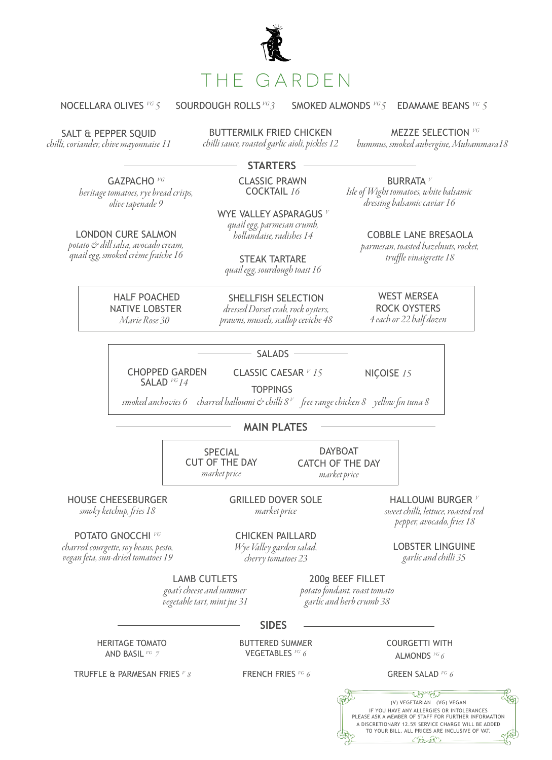

NOCELLARA OLIVES *VG 5* SOURDOUGH ROLLS *VG 3* SMOKED ALMONDS *VG 5* EDAMAME BEANS *VG 5*

SALT & PEPPER SQUID

*chilli, coriander, chive mayonnaise 11*

BUTTERMILK FRIED CHICKEN **chilli sauce, roasted garlic aïoli, pickles 12** MEZZE SELECTION *VG* chilli sauce, roasted garlic aïoli, pickles 12 hummus, smoked aubergine, Muham

*hummus, smoked aubergine, Muhammara18*

**STARTERS**

GAZPACHO *VG heritage tomatoes, rye bread crisps, olive tapenade 9*

LONDON CURE SALMON *potato & dill salsa, avocado cream, quail egg, smoked crème fraîche 16*  CLASSIC PRAWN COCKTAIL *16*

WYE VALLEY ASPARAGUS *<sup>V</sup> quail egg, parmesan crumb, hollandaise, radishes 14*

STEAK TARTARE *quail egg, sourdough toast 16* *dressing balsamic caviar 16*

BURRATA *<sup>V</sup> Isle of Wight tomatoes, white balsamic* 

> COBBLE LANE BRESAOLA *parmesan, toasted hazelnuts, rocket, truffle vinaigrette 18*

 HALF POACHED NATIVE LOBSTER *Marie Rose 30*

SHELLFISH SELECTION *dressed Dorset crab, rock oysters, prawns, mussels, scallop ceviche 48*

WEST MERSEA ROCK OYSTERS *4 each or 22 half dozen*

SALADS

NIÇOISE *<sup>15</sup>*

 CHOPPED GARDEN SALAD *VG 14* 

CLASSIC CAESAR *<sup>V</sup> 15* **TOPPINGS** 

 *smoked anchovies 6 charred halloumi & chilli 8 V free range chicken 8 yellow fin tuna 8* 

## **MAIN PLATES**

SPECIAL CUT OF THE DAY *market price*

DAYBOAT CATCH OF THE DAY *market price*

HOUSE CHEESEBURGER

*smoky ketchup, fries 18* 

GRILLED DOVER SOLE *market price*

HALLOUMI BURGER *<sup>V</sup> sweet chilli, lettuce, roasted red pepper, avocado, fries 18*

POTATO GNOCCHI *VG*

*charred courgette, soy beans, pesto, vegan feta, sun-dried tomatoes 19* 

CHICKEN PAILLARD *Wye Valley garden salad, cherry tomatoes 23*

LOBSTER LINGUINE *garlic and chilli 35*

LAMB CUTLETS

*goat's cheese and summer vegetable tart, mint jus 31*

200g BEEF FILLET *potato fondant, roast tomato* 

*garlic and herb crumb 38*

**SIDES**

HERITAGE TOMATO AND BASIL *VG 7* 

BUTTERED SUMMER VEGETABLES *VG 6*

COURGETTI WITH ALMONDS *VG 6*

TRUFFLE & PARMESAN FRIES <sup>V</sup> 8 **FRENCH FRIES** <sup>VG</sup> 6

GREEN SALAD *VG 6*